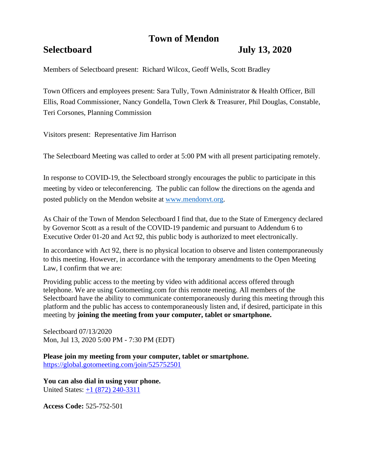# **Town of Mendon**

## **Selectboard July 13, 2020**

Members of Selectboard present: Richard Wilcox, Geoff Wells, Scott Bradley

Town Officers and employees present: Sara Tully, Town Administrator & Health Officer, Bill Ellis, Road Commissioner, Nancy Gondella, Town Clerk & Treasurer, Phil Douglas, Constable, Teri Corsones, Planning Commission

Visitors present: Representative Jim Harrison

The Selectboard Meeting was called to order at 5:00 PM with all present participating remotely.

In response to COVID-19, the Selectboard strongly encourages the public to participate in this meeting by video or teleconferencing. The public can follow the directions on the agenda and posted publicly on the Mendon website at [www.mendonvt.org.](http://www.mendonvt.org/)

As Chair of the Town of Mendon Selectboard I find that, due to the State of Emergency declared by Governor Scott as a result of the COVID-19 pandemic and pursuant to Addendum 6 to Executive Order 01-20 and Act 92, this public body is authorized to meet electronically.

In accordance with Act 92, there is no physical location to observe and listen contemporaneously to this meeting. However, in accordance with the temporary amendments to the Open Meeting Law, I confirm that we are:

Providing public access to the meeting by video with additional access offered through telephone. We are using Gotomeeting.com for this remote meeting. All members of the Selectboard have the ability to communicate contemporaneously during this meeting through this platform and the public has access to contemporaneously listen and, if desired, participate in this meeting by **joining the meeting from your computer, tablet or smartphone.** 

Selectboard 07/13/2020 Mon, Jul 13, 2020 5:00 PM - 7:30 PM (EDT)

**Please join my meeting from your computer, tablet or smartphone.**  <https://global.gotomeeting.com/join/525752501>

**You can also dial in using your phone.**  United States: [+1 \(872\) 240-3311](tel:+18722403311,,525752501)

**Access Code:** 525-752-501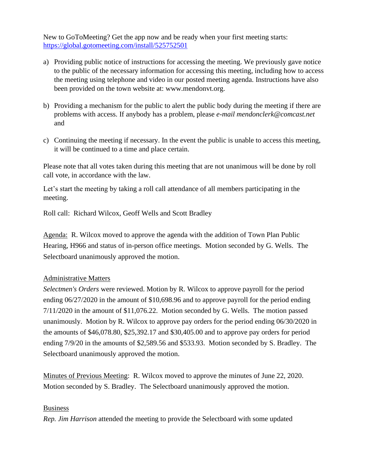New to GoToMeeting? Get the app now and be ready when your first meeting starts: <https://global.gotomeeting.com/install/525752501>

- a) Providing public notice of instructions for accessing the meeting. We previously gave notice to the public of the necessary information for accessing this meeting, including how to access the meeting using telephone and video in our posted meeting agenda. Instructions have also been provided on the town website at: www.mendonvt.org.
- b) Providing a mechanism for the public to alert the public body during the meeting if there are problems with access. If anybody has a problem, please *e-mail mendonclerk@comcast.net* and
- c) Continuing the meeting if necessary. In the event the public is unable to access this meeting, it will be continued to a time and place certain.

Please note that all votes taken during this meeting that are not unanimous will be done by roll call vote, in accordance with the law.

Let's start the meeting by taking a roll call attendance of all members participating in the meeting.

Roll call: Richard Wilcox, Geoff Wells and Scott Bradley

Agenda: R. Wilcox moved to approve the agenda with the addition of Town Plan Public Hearing, H966 and status of in-person office meetings. Motion seconded by G. Wells. The Selectboard unanimously approved the motion.

## Administrative Matters

*Selectmen's Orders* were reviewed. Motion by R. Wilcox to approve payroll for the period ending 06/27/2020 in the amount of \$10,698.96 and to approve payroll for the period ending 7/11/2020 in the amount of \$11,076.22. Motion seconded by G. Wells. The motion passed unanimously. Motion by R. Wilcox to approve pay orders for the period ending 06/30/2020 in the amounts of \$46,078.80, \$25,392.17 and \$30,405.00 and to approve pay orders for period ending 7/9/20 in the amounts of \$2,589.56 and \$533.93. Motion seconded by S. Bradley. The Selectboard unanimously approved the motion.

Minutes of Previous Meeting: R. Wilcox moved to approve the minutes of June 22, 2020. Motion seconded by S. Bradley. The Selectboard unanimously approved the motion.

## Business

*Rep. Jim Harrison* attended the meeting to provide the Selectboard with some updated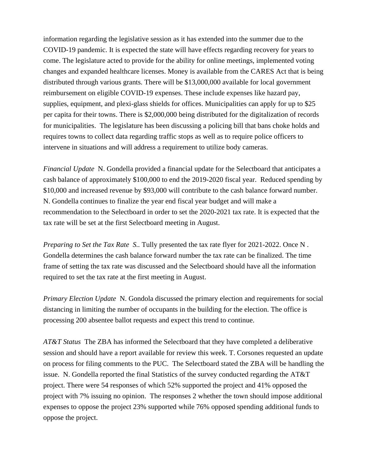information regarding the legislative session as it has extended into the summer due to the COVID-19 pandemic. It is expected the state will have effects regarding recovery for years to come. The legislature acted to provide for the ability for online meetings, implemented voting changes and expanded healthcare licenses. Money is available from the CARES Act that is being distributed through various grants. There will be \$13,000,000 available for local government reimbursement on eligible COVID-19 expenses. These include expenses like hazard pay, supplies, equipment, and plexi-glass shields for offices. Municipalities can apply for up to \$25 per capita for their towns. There is \$2,000,000 being distributed for the digitalization of records for municipalities. The legislature has been discussing a policing bill that bans choke holds and requires towns to collect data regarding traffic stops as well as to require police officers to intervene in situations and will address a requirement to utilize body cameras.

*Financial Update* N. Gondella provided a financial update for the Selectboard that anticipates a cash balance of approximately \$100,000 to end the 2019-2020 fiscal year. Reduced spending by \$10,000 and increased revenue by \$93,000 will contribute to the cash balance forward number. N. Gondella continues to finalize the year end fiscal year budget and will make a recommendation to the Selectboard in order to set the 2020-2021 tax rate. It is expected that the tax rate will be set at the first Selectboard meeting in August.

*Preparing to Set the Tax Rate S..* Tully presented the tax rate flyer for 2021-2022. Once N. Gondella determines the cash balance forward number the tax rate can be finalized. The time frame of setting the tax rate was discussed and the Selectboard should have all the information required to set the tax rate at the first meeting in August.

*Primary Election Update* N. Gondola discussed the primary election and requirements for social distancing in limiting the number of occupants in the building for the election. The office is processing 200 absentee ballot requests and expect this trend to continue.

*AT&T Status* The ZBA has informed the Selectboard that they have completed a deliberative session and should have a report available for review this week. T. Corsones requested an update on process for filing comments to the PUC. The Selectboard stated the ZBA will be handling the issue. N. Gondella reported the final Statistics of the survey conducted regarding the AT&T project. There were 54 responses of which 52% supported the project and 41% opposed the project with 7% issuing no opinion. The responses 2 whether the town should impose additional expenses to oppose the project 23% supported while 76% opposed spending additional funds to oppose the project.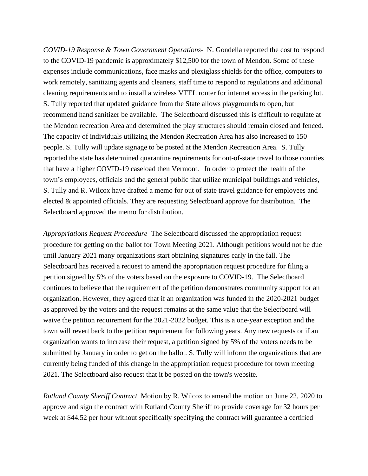*COVID-19 Response & Town Government Operations-* N. Gondella reported the cost to respond to the COVID-19 pandemic is approximately \$12,500 for the town of Mendon. Some of these expenses include communications, face masks and plexiglass shields for the office, computers to work remotely, sanitizing agents and cleaners, staff time to respond to regulations and additional cleaning requirements and to install a wireless VTEL router for internet access in the parking lot. S. Tully reported that updated guidance from the State allows playgrounds to open, but recommend hand sanitizer be available. The Selectboard discussed this is difficult to regulate at the Mendon recreation Area and determined the play structures should remain closed and fenced. The capacity of individuals utilizing the Mendon Recreation Area has also increased to 150 people. S. Tully will update signage to be posted at the Mendon Recreation Area. S. Tully reported the state has determined quarantine requirements for out-of-state travel to those counties that have a higher COVID-19 caseload then Vermont. In order to protect the health of the town's employees, officials and the general public that utilize municipal buildings and vehicles, S. Tully and R. Wilcox have drafted a memo for out of state travel guidance for employees and elected & appointed officials. They are requesting Selectboard approve for distribution. The Selectboard approved the memo for distribution.

*Appropriations Request Proceedure* The Selectboard discussed the appropriation request procedure for getting on the ballot for Town Meeting 2021. Although petitions would not be due until January 2021 many organizations start obtaining signatures early in the fall. The Selectboard has received a request to amend the appropriation request procedure for filing a petition signed by 5% of the voters based on the exposure to COVID-19. The Selectboard continues to believe that the requirement of the petition demonstrates community support for an organization. However, they agreed that if an organization was funded in the 2020-2021 budget as approved by the voters and the request remains at the same value that the Selectboard will waive the petition requirement for the 2021-2022 budget. This is a one-year exception and the town will revert back to the petition requirement for following years. Any new requests or if an organization wants to increase their request, a petition signed by 5% of the voters needs to be submitted by January in order to get on the ballot. S. Tully will inform the organizations that are currently being funded of this change in the appropriation request procedure for town meeting 2021. The Selectboard also request that it be posted on the town's website.

*Rutland County Sheriff Contract* Motion by R. Wilcox to amend the motion on June 22, 2020 to approve and sign the contract with Rutland County Sheriff to provide coverage for 32 hours per week at \$44.52 per hour without specifically specifying the contract will guarantee a certified